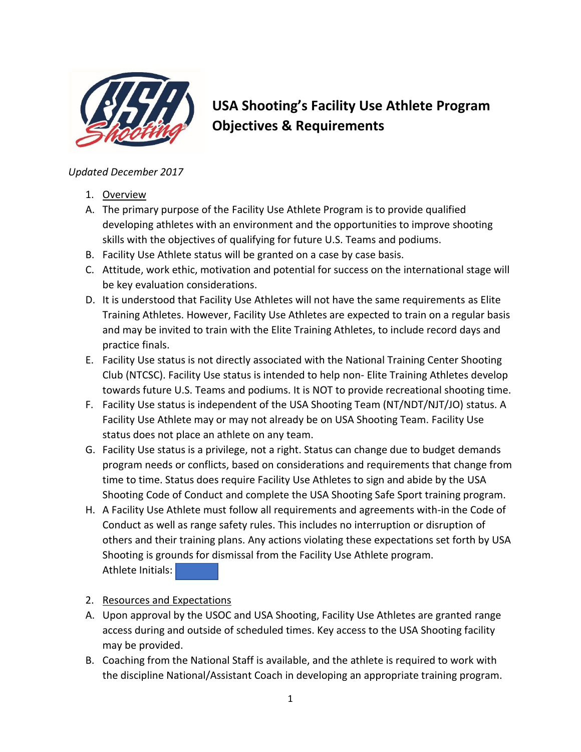

## **USA Shooting's Facility Use Athlete Program Objectives & Requirements**

## *Updated December 2017*

- 1. Overview
- A. The primary purpose of the Facility Use Athlete Program is to provide qualified developing athletes with an environment and the opportunities to improve shooting skills with the objectives of qualifying for future U.S. Teams and podiums.
- B. Facility Use Athlete status will be granted on a case by case basis.
- C. Attitude, work ethic, motivation and potential for success on the international stage will be key evaluation considerations.
- D. It is understood that Facility Use Athletes will not have the same requirements as Elite Training Athletes. However, Facility Use Athletes are expected to train on a regular basis and may be invited to train with the Elite Training Athletes, to include record days and practice finals.
- E. Facility Use status is not directly associated with the National Training Center Shooting Club (NTCSC). Facility Use status is intended to help non- Elite Training Athletes develop towards future U.S. Teams and podiums. It is NOT to provide recreational shooting time.
- F. Facility Use status is independent of the USA Shooting Team (NT/NDT/NJT/JO) status. A Facility Use Athlete may or may not already be on USA Shooting Team. Facility Use status does not place an athlete on any team.
- G. Facility Use status is a privilege, not a right. Status can change due to budget demands program needs or conflicts, based on considerations and requirements that change from time to time. Status does require Facility Use Athletes to sign and abide by the USA Shooting Code of Conduct and complete the USA Shooting Safe Sport training program.
- H. A Facility Use Athlete must follow all requirements and agreements with-in the Code of Conduct as well as range safety rules. This includes no interruption or disruption of others and their training plans. Any actions violating these expectations set forth by USA Shooting is grounds for dismissal from the Facility Use Athlete program. Athlete Initials:

## 2. Resources and Expectations

- A. Upon approval by the USOC and USA Shooting, Facility Use Athletes are granted range access during and outside of scheduled times. Key access to the USA Shooting facility may be provided.
- B. Coaching from the National Staff is available, and the athlete is required to work with the discipline National/Assistant Coach in developing an appropriate training program.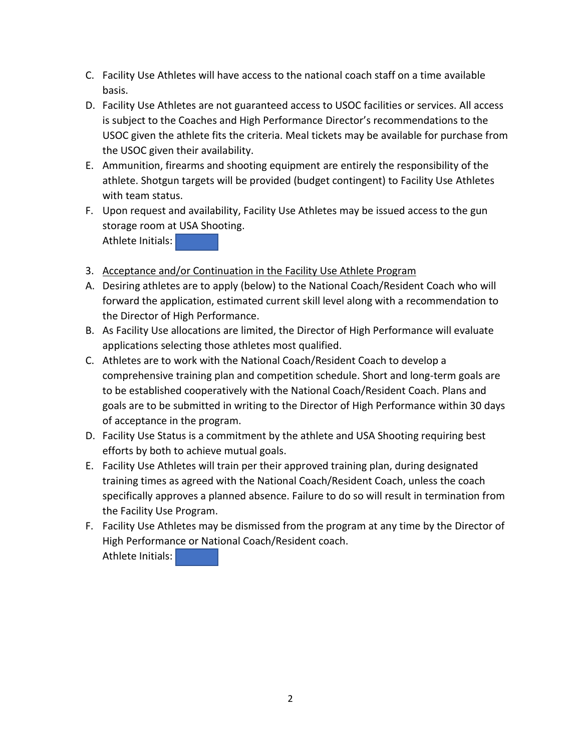- C. Facility Use Athletes will have access to the national coach staff on a time available basis.
- D. Facility Use Athletes are not guaranteed access to USOC facilities or services. All access is subject to the Coaches and High Performance Director's recommendations to the USOC given the athlete fits the criteria. Meal tickets may be available for purchase from the USOC given their availability.
- E. Ammunition, firearms and shooting equipment are entirely the responsibility of the athlete. Shotgun targets will be provided (budget contingent) to Facility Use Athletes with team status.
- F. Upon request and availability, Facility Use Athletes may be issued access to the gun storage room at USA Shooting.

Athlete Initials:

- 3. Acceptance and/or Continuation in the Facility Use Athlete Program
- A. Desiring athletes are to apply (below) to the National Coach/Resident Coach who will forward the application, estimated current skill level along with a recommendation to the Director of High Performance.
- B. As Facility Use allocations are limited, the Director of High Performance will evaluate applications selecting those athletes most qualified.
- C. Athletes are to work with the National Coach/Resident Coach to develop a comprehensive training plan and competition schedule. Short and long-term goals are to be established cooperatively with the National Coach/Resident Coach. Plans and goals are to be submitted in writing to the Director of High Performance within 30 days of acceptance in the program.
- D. Facility Use Status is a commitment by the athlete and USA Shooting requiring best efforts by both to achieve mutual goals.
- E. Facility Use Athletes will train per their approved training plan, during designated training times as agreed with the National Coach/Resident Coach, unless the coach specifically approves a planned absence. Failure to do so will result in termination from the Facility Use Program.
- F. Facility Use Athletes may be dismissed from the program at any time by the Director of High Performance or National Coach/Resident coach. Athlete Initials: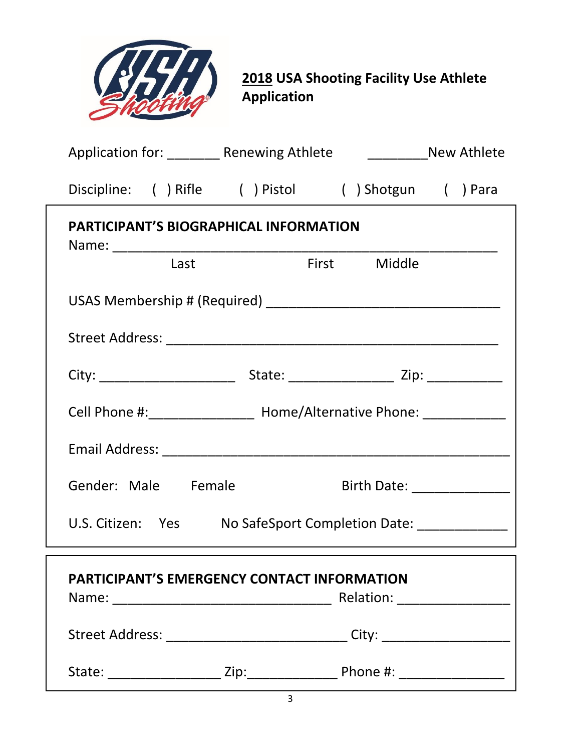| <b>2018 USA Shooting Facility Use Athlete</b><br><b>Application</b>          |  |  |  |
|------------------------------------------------------------------------------|--|--|--|
| Application for: ________ Renewing Athlete<br>______________New Athlete      |  |  |  |
| Discipline: ( ) Rifle ( ) Pistol ( ) Shotgun ( ) Para                        |  |  |  |
| <b>PARTICIPANT'S BIOGRAPHICAL INFORMATION</b><br><b>First</b> Middle<br>Last |  |  |  |
|                                                                              |  |  |  |
|                                                                              |  |  |  |
|                                                                              |  |  |  |
| Cell Phone #: ___________________ Home/Alternative Phone: ______________     |  |  |  |
| <b>Email Address:</b>                                                        |  |  |  |
| Gender: Male Female<br>Birth Date: _________________                         |  |  |  |
| U.S. Citizen: Yes No SafeSport Completion Date: _____________                |  |  |  |
| <b>PARTICIPANT'S EMERGENCY CONTACT INFORMATION</b>                           |  |  |  |
|                                                                              |  |  |  |
|                                                                              |  |  |  |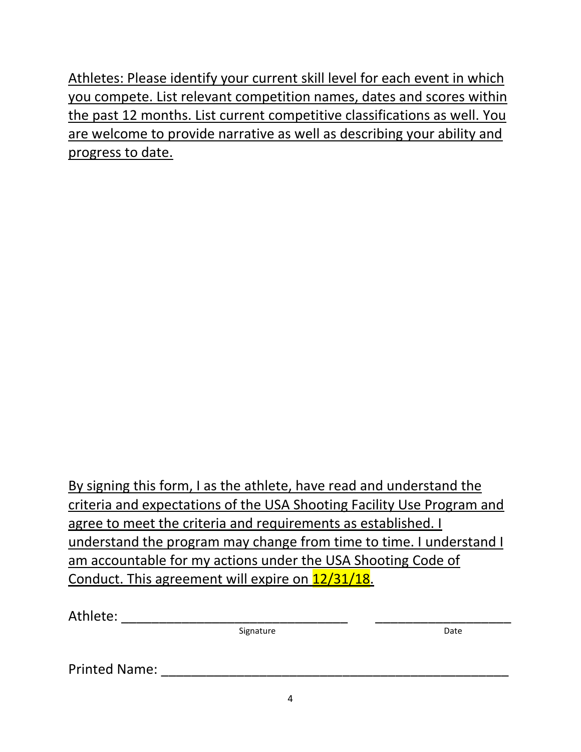Athletes: Please identify your current skill level for each event in which you compete. List relevant competition names, dates and scores within the past 12 months. List current competitive classifications as well. You are welcome to provide narrative as well as describing your ability and progress to date.

By signing this form, I as the athlete, have read and understand the criteria and expectations of the USA Shooting Facility Use Program and agree to meet the criteria and requirements as established. I understand the program may change from time to time. I understand I am accountable for my actions under the USA Shooting Code of Conduct. This agreement will expire on 12/31/18.

| Athlete:             |           |      |
|----------------------|-----------|------|
|                      | Signature | Date |
| <b>Printed Name:</b> |           |      |
|                      |           |      |